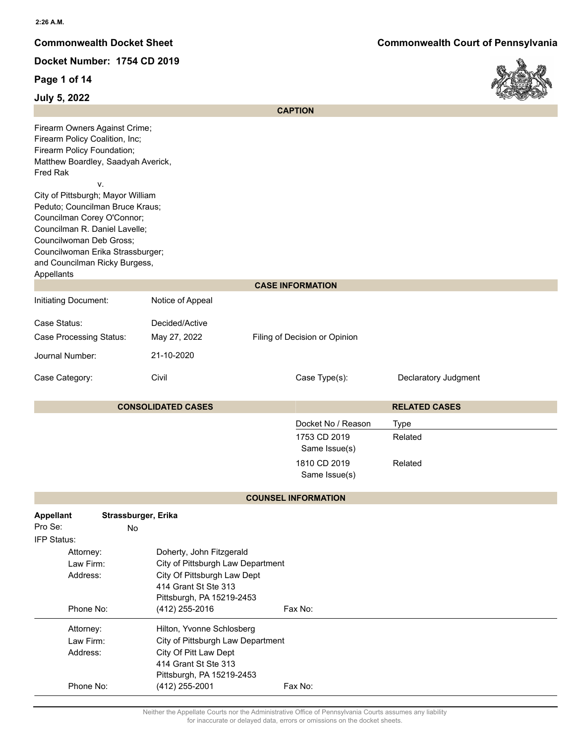**Page 1 of 14**



| July 5, ZUZZ                                                                                                                                                                                                                                                                                                                                                                                               |                                                               |                               |                      | $\sim$ |
|------------------------------------------------------------------------------------------------------------------------------------------------------------------------------------------------------------------------------------------------------------------------------------------------------------------------------------------------------------------------------------------------------------|---------------------------------------------------------------|-------------------------------|----------------------|--------|
|                                                                                                                                                                                                                                                                                                                                                                                                            |                                                               | <b>CAPTION</b>                |                      |        |
| Firearm Owners Against Crime;<br>Firearm Policy Coalition, Inc;<br>Firearm Policy Foundation;<br>Matthew Boardley, Saadyah Averick,<br>Fred Rak<br>ν.<br>City of Pittsburgh; Mayor William<br>Peduto; Councilman Bruce Kraus;<br>Councilman Corey O'Connor;<br>Councilman R. Daniel Lavelle;<br>Councilwoman Deb Gross;<br>Councilwoman Erika Strassburger;<br>and Councilman Ricky Burgess,<br>Appellants |                                                               |                               |                      |        |
|                                                                                                                                                                                                                                                                                                                                                                                                            |                                                               | <b>CASE INFORMATION</b>       |                      |        |
| Initiating Document:                                                                                                                                                                                                                                                                                                                                                                                       | Notice of Appeal                                              |                               |                      |        |
|                                                                                                                                                                                                                                                                                                                                                                                                            |                                                               |                               |                      |        |
| Case Status:                                                                                                                                                                                                                                                                                                                                                                                               | Decided/Active                                                |                               |                      |        |
| <b>Case Processing Status:</b>                                                                                                                                                                                                                                                                                                                                                                             | May 27, 2022                                                  | Filing of Decision or Opinion |                      |        |
| Journal Number:                                                                                                                                                                                                                                                                                                                                                                                            | 21-10-2020                                                    |                               |                      |        |
| Case Category:                                                                                                                                                                                                                                                                                                                                                                                             | Civil                                                         | Case Type(s):                 | Declaratory Judgment |        |
|                                                                                                                                                                                                                                                                                                                                                                                                            | <b>CONSOLIDATED CASES</b>                                     |                               | <b>RELATED CASES</b> |        |
|                                                                                                                                                                                                                                                                                                                                                                                                            |                                                               | Docket No / Reason            | <b>Type</b>          |        |
|                                                                                                                                                                                                                                                                                                                                                                                                            |                                                               | 1753 CD 2019                  | Related              |        |
|                                                                                                                                                                                                                                                                                                                                                                                                            |                                                               | Same Issue(s)                 |                      |        |
|                                                                                                                                                                                                                                                                                                                                                                                                            |                                                               | 1810 CD 2019<br>Same Issue(s) | Related              |        |
|                                                                                                                                                                                                                                                                                                                                                                                                            |                                                               | <b>COUNSEL INFORMATION</b>    |                      |        |
| <b>Appellant</b>                                                                                                                                                                                                                                                                                                                                                                                           | Strassburger, Erika                                           |                               |                      |        |
| Pro Se:<br>No                                                                                                                                                                                                                                                                                                                                                                                              |                                                               |                               |                      |        |
| IFP Status:                                                                                                                                                                                                                                                                                                                                                                                                |                                                               |                               |                      |        |
| Attorney:<br>Law Firm:                                                                                                                                                                                                                                                                                                                                                                                     | Doherty, John Fitzgerald<br>City of Pittsburgh Law Department |                               |                      |        |
| Address:                                                                                                                                                                                                                                                                                                                                                                                                   | City Of Pittsburgh Law Dept                                   |                               |                      |        |
|                                                                                                                                                                                                                                                                                                                                                                                                            | 414 Grant St Ste 313                                          |                               |                      |        |
|                                                                                                                                                                                                                                                                                                                                                                                                            | Pittsburgh, PA 15219-2453                                     |                               |                      |        |
| Phone No:                                                                                                                                                                                                                                                                                                                                                                                                  | (412) 255-2016                                                | Fax No:                       |                      |        |
| Attorney:                                                                                                                                                                                                                                                                                                                                                                                                  | Hilton, Yvonne Schlosberg                                     |                               |                      |        |
| Law Firm:                                                                                                                                                                                                                                                                                                                                                                                                  | City of Pittsburgh Law Department                             |                               |                      |        |
| Address:                                                                                                                                                                                                                                                                                                                                                                                                   | City Of Pitt Law Dept<br>414 Grant St Ste 313                 |                               |                      |        |
|                                                                                                                                                                                                                                                                                                                                                                                                            | Pittsburgh, PA 15219-2453                                     |                               |                      |        |
| Phone No:                                                                                                                                                                                                                                                                                                                                                                                                  | $(412)$ 255-2001                                              | Fax No:                       |                      |        |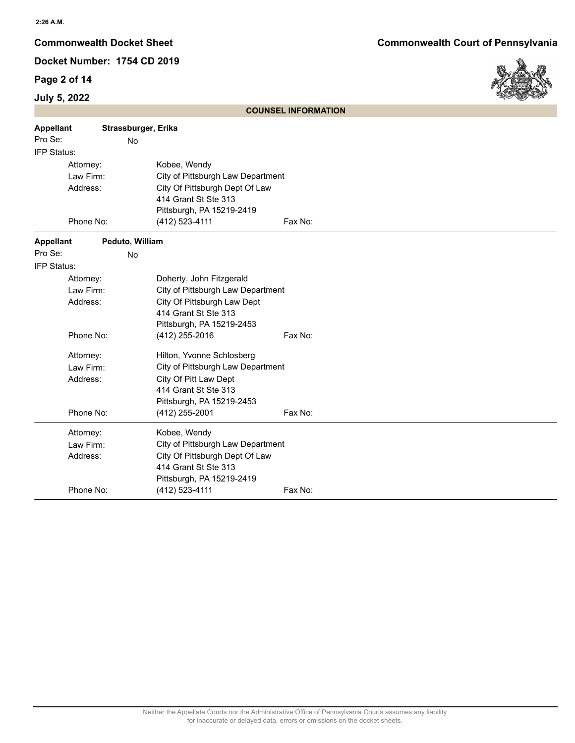# **Page 2 of 14**

# **July 5, 2022**

**Commonwealth Docket Sheet Commonwealth Court of Pennsylvania**



|                  |                     |                                   | <b>COUNSEL INFORMATION</b> |  |
|------------------|---------------------|-----------------------------------|----------------------------|--|
| <b>Appellant</b> | Strassburger, Erika |                                   |                            |  |
| Pro Se:          | No                  |                                   |                            |  |
| IFP Status:      |                     |                                   |                            |  |
| Attorney:        |                     | Kobee, Wendy                      |                            |  |
| Law Firm:        |                     | City of Pittsburgh Law Department |                            |  |
| Address:         |                     | City Of Pittsburgh Dept Of Law    |                            |  |
|                  |                     | 414 Grant St Ste 313              |                            |  |
|                  |                     | Pittsburgh, PA 15219-2419         |                            |  |
|                  | Phone No:           | (412) 523-4111                    | Fax No:                    |  |
| <b>Appellant</b> | Peduto, William     |                                   |                            |  |
| Pro Se:          | No                  |                                   |                            |  |
| IFP Status:      |                     |                                   |                            |  |
| Attorney:        |                     | Doherty, John Fitzgerald          |                            |  |
| Law Firm:        |                     | City of Pittsburgh Law Department |                            |  |
| Address:         |                     | City Of Pittsburgh Law Dept       |                            |  |
|                  |                     | 414 Grant St Ste 313              |                            |  |
|                  |                     | Pittsburgh, PA 15219-2453         |                            |  |
|                  | Phone No:           | (412) 255-2016                    | Fax No:                    |  |
| Attorney:        |                     | Hilton, Yvonne Schlosberg         |                            |  |
| Law Firm:        |                     | City of Pittsburgh Law Department |                            |  |
| Address:         |                     | City Of Pitt Law Dept             |                            |  |
|                  |                     | 414 Grant St Ste 313              |                            |  |
|                  |                     | Pittsburgh, PA 15219-2453         |                            |  |
|                  | Phone No:           | (412) 255-2001                    | Fax No:                    |  |
| Attorney:        |                     | Kobee, Wendy                      |                            |  |
| Law Firm:        |                     | City of Pittsburgh Law Department |                            |  |
| Address:         |                     | City Of Pittsburgh Dept Of Law    |                            |  |
|                  |                     | 414 Grant St Ste 313              |                            |  |
|                  |                     | Pittsburgh, PA 15219-2419         |                            |  |
|                  | Phone No:           | (412) 523-4111                    | Fax No:                    |  |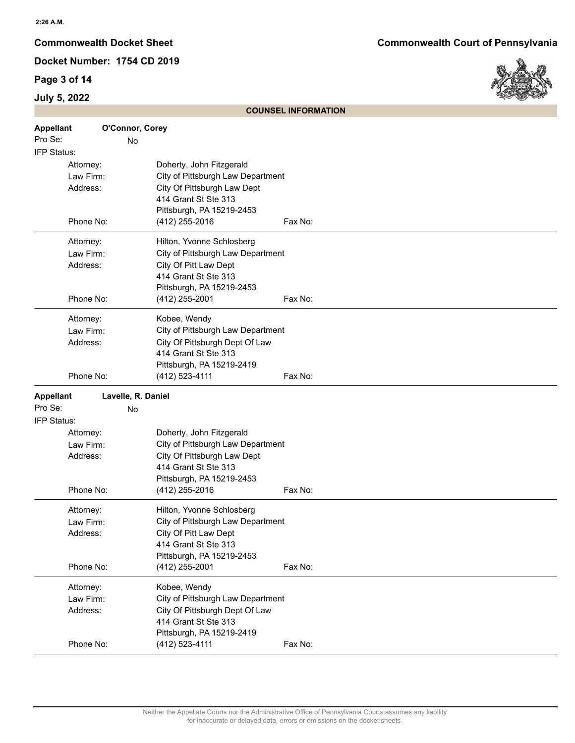# **Page 3 of 14**



|                  | <b>COUNSEL INFORMATION</b> |                                   |         |  |
|------------------|----------------------------|-----------------------------------|---------|--|
| <b>Appellant</b> | O'Connor, Corey            |                                   |         |  |
| Pro Se:          | No                         |                                   |         |  |
| IFP Status:      |                            |                                   |         |  |
|                  | Attorney:                  | Doherty, John Fitzgerald          |         |  |
|                  | Law Firm:                  | City of Pittsburgh Law Department |         |  |
|                  | Address:                   | City Of Pittsburgh Law Dept       |         |  |
|                  |                            | 414 Grant St Ste 313              |         |  |
|                  |                            | Pittsburgh, PA 15219-2453         |         |  |
|                  | Phone No:                  | (412) 255-2016                    | Fax No: |  |
|                  | Attorney:                  | Hilton, Yvonne Schlosberg         |         |  |
|                  | Law Firm:                  | City of Pittsburgh Law Department |         |  |
|                  | Address:                   | City Of Pitt Law Dept             |         |  |
|                  |                            | 414 Grant St Ste 313              |         |  |
|                  |                            | Pittsburgh, PA 15219-2453         |         |  |
|                  | Phone No:                  | (412) 255-2001                    | Fax No: |  |
|                  | Attorney:                  | Kobee, Wendy                      |         |  |
|                  | Law Firm:                  | City of Pittsburgh Law Department |         |  |
|                  | Address:                   | City Of Pittsburgh Dept Of Law    |         |  |
|                  |                            | 414 Grant St Ste 313              |         |  |
|                  |                            | Pittsburgh, PA 15219-2419         |         |  |
|                  | Phone No:                  | (412) 523-4111                    | Fax No: |  |
| <b>Appellant</b> | Lavelle, R. Daniel         |                                   |         |  |
| Pro Se:          | No                         |                                   |         |  |
| IFP Status:      |                            |                                   |         |  |
|                  | Attorney:                  | Doherty, John Fitzgerald          |         |  |
|                  | Law Firm:                  | City of Pittsburgh Law Department |         |  |
|                  | Address:                   | City Of Pittsburgh Law Dept       |         |  |
|                  |                            | 414 Grant St Ste 313              |         |  |
|                  |                            | Pittsburgh, PA 15219-2453         |         |  |
|                  | Phone No:                  | $(412)$ 255-2016                  | Fax No: |  |
|                  | Attorney:                  | Hilton, Yvonne Schlosberg         |         |  |
|                  | Law Firm:                  | City of Pittsburgh Law Department |         |  |
|                  | Address:                   | City Of Pitt Law Dept             |         |  |
|                  |                            | 414 Grant St Ste 313              |         |  |
|                  |                            | Pittsburgh, PA 15219-2453         |         |  |
|                  | Phone No:                  | $(412)$ 255-2001                  | Fax No: |  |
|                  | Attorney:                  | Kobee, Wendy                      |         |  |
|                  | Law Firm:                  | City of Pittsburgh Law Department |         |  |
|                  | Address:                   | City Of Pittsburgh Dept Of Law    |         |  |
|                  |                            | 414 Grant St Ste 313              |         |  |
|                  |                            | Pittsburgh, PA 15219-2419         |         |  |
|                  | Phone No:                  | (412) 523-4111                    | Fax No: |  |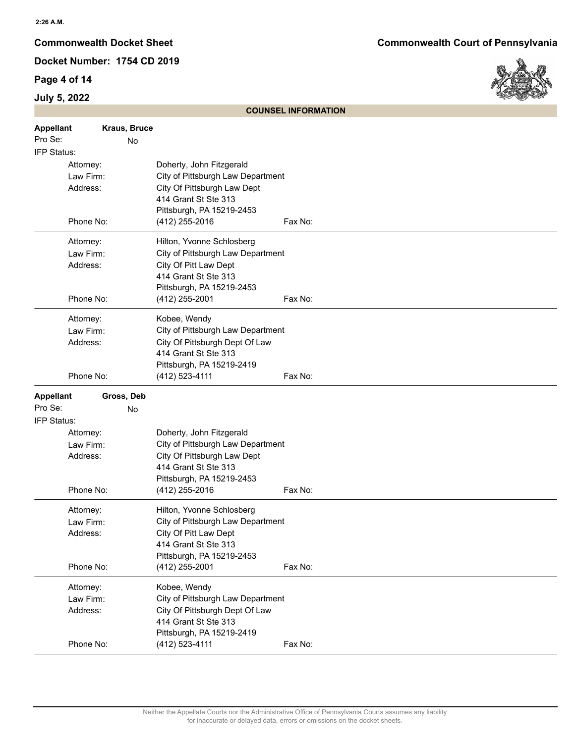## **Page 4 of 14**



|                  | <b>COUNSEL INFORMATION</b> |                                   |         |  |  |
|------------------|----------------------------|-----------------------------------|---------|--|--|
| <b>Appellant</b> | Kraus, Bruce               |                                   |         |  |  |
| Pro Se:          | No                         |                                   |         |  |  |
| IFP Status:      |                            |                                   |         |  |  |
| Attorney:        |                            | Doherty, John Fitzgerald          |         |  |  |
| Law Firm:        |                            | City of Pittsburgh Law Department |         |  |  |
| Address:         |                            | City Of Pittsburgh Law Dept       |         |  |  |
|                  |                            | 414 Grant St Ste 313              |         |  |  |
|                  |                            | Pittsburgh, PA 15219-2453         |         |  |  |
| Phone No:        |                            | (412) 255-2016                    | Fax No: |  |  |
| Attorney:        |                            | Hilton, Yvonne Schlosberg         |         |  |  |
| Law Firm:        |                            | City of Pittsburgh Law Department |         |  |  |
| Address:         |                            | City Of Pitt Law Dept             |         |  |  |
|                  |                            | 414 Grant St Ste 313              |         |  |  |
|                  |                            | Pittsburgh, PA 15219-2453         |         |  |  |
| Phone No:        |                            | (412) 255-2001                    | Fax No: |  |  |
| Attorney:        |                            | Kobee, Wendy                      |         |  |  |
| Law Firm:        |                            | City of Pittsburgh Law Department |         |  |  |
| Address:         |                            | City Of Pittsburgh Dept Of Law    |         |  |  |
|                  |                            | 414 Grant St Ste 313              |         |  |  |
|                  |                            | Pittsburgh, PA 15219-2419         |         |  |  |
| Phone No:        |                            | (412) 523-4111                    | Fax No: |  |  |
| <b>Appellant</b> | Gross, Deb                 |                                   |         |  |  |
| Pro Se:          | No                         |                                   |         |  |  |
| IFP Status:      |                            |                                   |         |  |  |
| Attorney:        |                            | Doherty, John Fitzgerald          |         |  |  |
| Law Firm:        |                            | City of Pittsburgh Law Department |         |  |  |
| Address:         |                            | City Of Pittsburgh Law Dept       |         |  |  |
|                  |                            | 414 Grant St Ste 313              |         |  |  |
|                  |                            | Pittsburgh, PA 15219-2453         |         |  |  |
| Phone No:        |                            | (412) 255-2016                    | Fax No: |  |  |
| Attorney:        |                            | Hilton, Yvonne Schlosberg         |         |  |  |
| Law Firm:        |                            | City of Pittsburgh Law Department |         |  |  |
| Address:         |                            | City Of Pitt Law Dept             |         |  |  |
|                  |                            | 414 Grant St Ste 313              |         |  |  |
|                  |                            | Pittsburgh, PA 15219-2453         |         |  |  |
| Phone No:        |                            | (412) 255-2001                    | Fax No: |  |  |
| Attorney:        |                            | Kobee, Wendy                      |         |  |  |
| Law Firm:        |                            | City of Pittsburgh Law Department |         |  |  |
| Address:         |                            | City Of Pittsburgh Dept Of Law    |         |  |  |
|                  |                            | 414 Grant St Ste 313              |         |  |  |
|                  |                            | Pittsburgh, PA 15219-2419         |         |  |  |
| Phone No:        |                            | (412) 523-4111                    | Fax No: |  |  |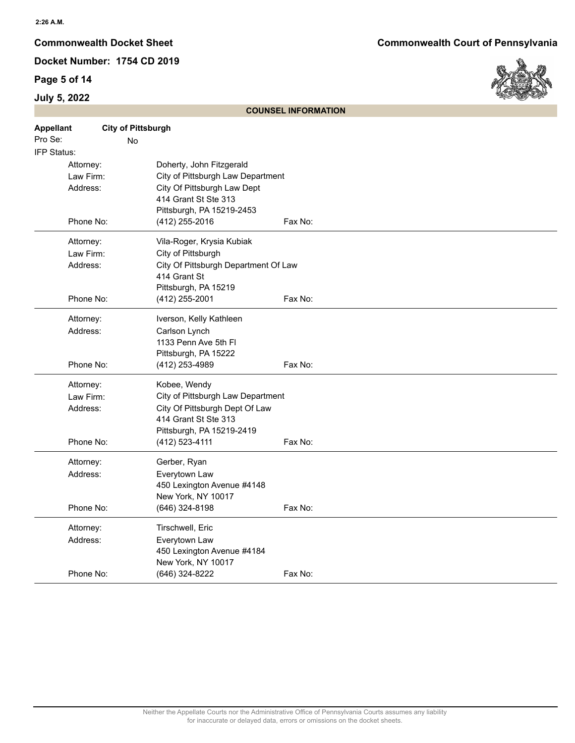## **Page 5 of 14**

# **July 5, 2022**



| <b>Appellant</b><br>Pro Se: | <b>City of Pittsburgh</b><br><b>No</b> |                                      |         |
|-----------------------------|----------------------------------------|--------------------------------------|---------|
| IFP Status:                 |                                        |                                      |         |
|                             | Attorney:                              | Doherty, John Fitzgerald             |         |
|                             | Law Firm:                              | City of Pittsburgh Law Department    |         |
|                             | Address:                               | City Of Pittsburgh Law Dept          |         |
|                             |                                        | 414 Grant St Ste 313                 |         |
|                             |                                        | Pittsburgh, PA 15219-2453            |         |
|                             | Phone No:                              | (412) 255-2016                       | Fax No: |
|                             | Attorney:                              | Vila-Roger, Krysia Kubiak            |         |
|                             | Law Firm:                              | City of Pittsburgh                   |         |
|                             | Address:                               | City Of Pittsburgh Department Of Law |         |
|                             |                                        | 414 Grant St                         |         |
|                             |                                        | Pittsburgh, PA 15219                 |         |
|                             | Phone No:                              | (412) 255-2001                       | Fax No: |
|                             | Attorney:                              | Iverson, Kelly Kathleen              |         |
|                             | Address:                               | Carlson Lynch                        |         |
|                             |                                        | 1133 Penn Ave 5th Fl                 |         |
|                             |                                        | Pittsburgh, PA 15222                 |         |
|                             | Phone No:                              | (412) 253-4989                       | Fax No: |
|                             | Attorney:                              | Kobee, Wendy                         |         |
|                             | Law Firm:                              | City of Pittsburgh Law Department    |         |
|                             | Address:                               | City Of Pittsburgh Dept Of Law       |         |
|                             |                                        | 414 Grant St Ste 313                 |         |
|                             |                                        | Pittsburgh, PA 15219-2419            |         |
|                             | Phone No:                              | (412) 523-4111                       | Fax No: |
|                             | Attorney:                              | Gerber, Ryan                         |         |
|                             | Address:                               | Everytown Law                        |         |
|                             |                                        | 450 Lexington Avenue #4148           |         |
|                             |                                        | New York, NY 10017                   |         |
|                             | Phone No:                              | (646) 324-8198                       | Fax No: |
|                             | Attorney:                              | Tirschwell, Eric                     |         |
|                             | Address:                               | Everytown Law                        |         |
|                             |                                        | 450 Lexington Avenue #4184           |         |
|                             |                                        | New York, NY 10017                   |         |
|                             | Phone No:                              | (646) 324-8222                       | Fax No: |

**COUNSEL INFORMATION**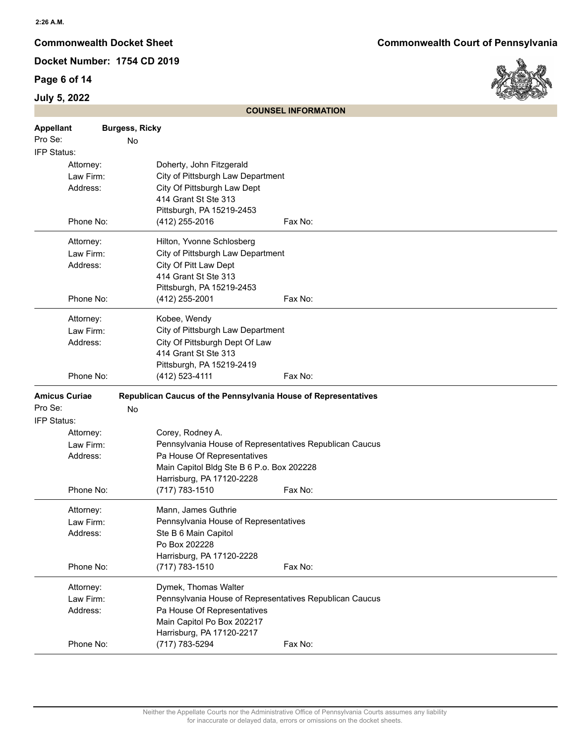## **Page 6 of 14**



|                      | <b>COUNSEL INFORMATION</b> |                       |                                                                |         |
|----------------------|----------------------------|-----------------------|----------------------------------------------------------------|---------|
| <b>Appellant</b>     |                            | <b>Burgess, Ricky</b> |                                                                |         |
| Pro Se:              |                            | No                    |                                                                |         |
| IFP Status:          |                            |                       |                                                                |         |
|                      | Attorney:                  |                       | Doherty, John Fitzgerald                                       |         |
|                      | Law Firm:                  |                       | City of Pittsburgh Law Department                              |         |
|                      | Address:                   |                       | City Of Pittsburgh Law Dept                                    |         |
|                      |                            |                       | 414 Grant St Ste 313                                           |         |
|                      |                            |                       | Pittsburgh, PA 15219-2453                                      |         |
|                      | Phone No:                  |                       | (412) 255-2016                                                 | Fax No: |
|                      | Attorney:                  |                       | Hilton, Yvonne Schlosberg                                      |         |
|                      | Law Firm:                  |                       | City of Pittsburgh Law Department                              |         |
|                      | Address:                   |                       | City Of Pitt Law Dept                                          |         |
|                      |                            |                       | 414 Grant St Ste 313                                           |         |
|                      |                            |                       | Pittsburgh, PA 15219-2453                                      |         |
|                      | Phone No:                  |                       | (412) 255-2001                                                 | Fax No: |
|                      | Attorney:                  |                       | Kobee, Wendy                                                   |         |
|                      | Law Firm:                  |                       | City of Pittsburgh Law Department                              |         |
|                      | Address:                   |                       | City Of Pittsburgh Dept Of Law                                 |         |
|                      |                            |                       | 414 Grant St Ste 313                                           |         |
|                      |                            |                       | Pittsburgh, PA 15219-2419                                      |         |
|                      | Phone No:                  |                       | (412) 523-4111                                                 | Fax No: |
| <b>Amicus Curiae</b> |                            |                       | Republican Caucus of the Pennsylvania House of Representatives |         |
| Pro Se:              |                            | No                    |                                                                |         |
| IFP Status:          |                            |                       |                                                                |         |
|                      | Attorney:                  |                       | Corey, Rodney A.                                               |         |
|                      | Law Firm:                  |                       | Pennsylvania House of Representatives Republican Caucus        |         |
|                      | Address:                   |                       | Pa House Of Representatives                                    |         |
|                      |                            |                       | Main Capitol Bldg Ste B 6 P.o. Box 202228                      |         |
|                      |                            |                       | Harrisburg, PA 17120-2228                                      |         |
|                      | Phone No:                  |                       | (717) 783-1510                                                 | Fax No: |
|                      | Attorney:                  |                       | Mann, James Guthrie                                            |         |
|                      | Law Firm:                  |                       | Pennsylvania House of Representatives                          |         |
|                      | Address:                   |                       | Ste B 6 Main Capitol                                           |         |
|                      |                            |                       | Po Box 202228                                                  |         |
|                      |                            |                       | Harrisburg, PA 17120-2228                                      |         |
|                      | Phone No:                  |                       | $(717) 783 - 1510$                                             | Fax No: |
|                      | Attorney:                  |                       | Dymek, Thomas Walter                                           |         |
|                      | Law Firm:                  |                       | Pennsylvania House of Representatives Republican Caucus        |         |
|                      | Address:                   |                       | Pa House Of Representatives                                    |         |
|                      |                            |                       | Main Capitol Po Box 202217                                     |         |
|                      |                            |                       | Harrisburg, PA 17120-2217                                      |         |
|                      | Phone No:                  |                       | (717) 783-5294                                                 | Fax No: |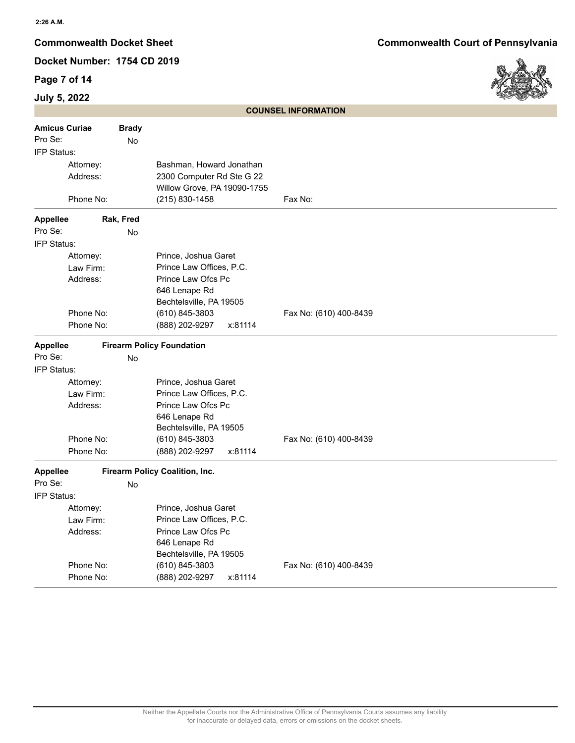# **Page 7 of 14**



|                      |           |              |                                                          | <b>COUNSEL INFORMATION</b> |
|----------------------|-----------|--------------|----------------------------------------------------------|----------------------------|
| <b>Amicus Curiae</b> |           | <b>Brady</b> |                                                          |                            |
| Pro Se:              |           | No           |                                                          |                            |
| IFP Status:          |           |              |                                                          |                            |
|                      | Attorney: |              | Bashman, Howard Jonathan                                 |                            |
|                      | Address:  |              | 2300 Computer Rd Ste G 22<br>Willow Grove, PA 19090-1755 |                            |
|                      | Phone No: |              | (215) 830-1458                                           | Fax No:                    |
| <b>Appellee</b>      |           | Rak, Fred    |                                                          |                            |
| Pro Se:              |           | No           |                                                          |                            |
| IFP Status:          |           |              |                                                          |                            |
|                      | Attorney: |              | Prince, Joshua Garet                                     |                            |
|                      | Law Firm: |              | Prince Law Offices, P.C.                                 |                            |
|                      | Address:  |              | Prince Law Ofcs Pc                                       |                            |
|                      |           |              | 646 Lenape Rd                                            |                            |
|                      |           |              | Bechtelsville, PA 19505                                  |                            |
|                      | Phone No: |              | (610) 845-3803                                           | Fax No: (610) 400-8439     |
|                      | Phone No: |              | (888) 202-9297<br>x:81114                                |                            |
| <b>Appellee</b>      |           |              | <b>Firearm Policy Foundation</b>                         |                            |
| Pro Se:              |           | <b>No</b>    |                                                          |                            |
| IFP Status:          |           |              |                                                          |                            |
|                      | Attorney: |              | Prince, Joshua Garet                                     |                            |
|                      | Law Firm: |              | Prince Law Offices, P.C.                                 |                            |
|                      | Address:  |              | Prince Law Ofcs Pc                                       |                            |
|                      |           |              | 646 Lenape Rd                                            |                            |
|                      |           |              | Bechtelsville, PA 19505                                  |                            |
|                      | Phone No: |              | (610) 845-3803                                           | Fax No: (610) 400-8439     |
|                      | Phone No: |              | (888) 202-9297<br>x:81114                                |                            |
| <b>Appellee</b>      |           |              | Firearm Policy Coalition, Inc.                           |                            |
| Pro Se:              |           | No           |                                                          |                            |
| IFP Status:          |           |              |                                                          |                            |
|                      | Attorney: |              | Prince, Joshua Garet                                     |                            |
|                      | Law Firm: |              | Prince Law Offices, P.C.                                 |                            |
|                      | Address:  |              | Prince Law Ofcs Pc                                       |                            |
|                      |           |              | 646 Lenape Rd                                            |                            |
|                      | Phone No: |              | Bechtelsville, PA 19505<br>(610) 845-3803                | Fax No: (610) 400-8439     |
|                      |           |              | (888) 202-9297                                           |                            |
|                      | Phone No: |              | x:81114                                                  |                            |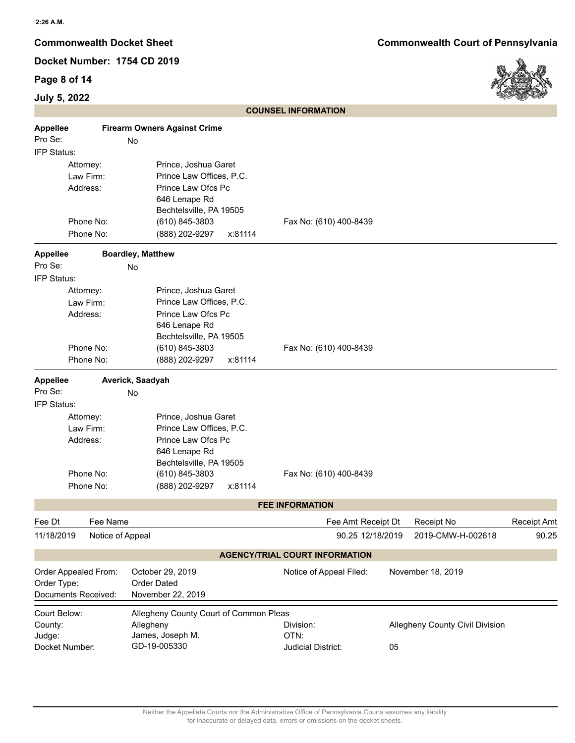## **Page 8 of 14**



| July 5, 2022    |                      |                          |                                        |         |                                       |    |                                 | when the contract |
|-----------------|----------------------|--------------------------|----------------------------------------|---------|---------------------------------------|----|---------------------------------|-------------------|
|                 |                      |                          |                                        |         | <b>COUNSEL INFORMATION</b>            |    |                                 |                   |
| <b>Appellee</b> |                      |                          | <b>Firearm Owners Against Crime</b>    |         |                                       |    |                                 |                   |
| Pro Se:         |                      | No                       |                                        |         |                                       |    |                                 |                   |
| IFP Status:     |                      |                          |                                        |         |                                       |    |                                 |                   |
|                 | Attorney:            |                          | Prince, Joshua Garet                   |         |                                       |    |                                 |                   |
|                 | Law Firm:            |                          | Prince Law Offices, P.C.               |         |                                       |    |                                 |                   |
|                 | Address:             |                          | Prince Law Ofcs Pc                     |         |                                       |    |                                 |                   |
|                 |                      |                          | 646 Lenape Rd                          |         |                                       |    |                                 |                   |
|                 |                      |                          | Bechtelsville, PA 19505                |         |                                       |    |                                 |                   |
|                 | Phone No:            |                          | (610) 845-3803                         |         | Fax No: (610) 400-8439                |    |                                 |                   |
|                 | Phone No:            |                          | (888) 202-9297                         | x:81114 |                                       |    |                                 |                   |
| <b>Appellee</b> |                      | <b>Boardley, Matthew</b> |                                        |         |                                       |    |                                 |                   |
| Pro Se:         |                      | No                       |                                        |         |                                       |    |                                 |                   |
| IFP Status:     |                      |                          |                                        |         |                                       |    |                                 |                   |
|                 | Attorney:            |                          | Prince, Joshua Garet                   |         |                                       |    |                                 |                   |
|                 | Law Firm:            |                          | Prince Law Offices, P.C.               |         |                                       |    |                                 |                   |
|                 | Address:             |                          | Prince Law Ofcs Pc                     |         |                                       |    |                                 |                   |
|                 |                      |                          | 646 Lenape Rd                          |         |                                       |    |                                 |                   |
|                 |                      |                          | Bechtelsville, PA 19505                |         |                                       |    |                                 |                   |
|                 | Phone No:            |                          | (610) 845-3803                         |         | Fax No: (610) 400-8439                |    |                                 |                   |
|                 | Phone No:            |                          | (888) 202-9297                         | x:81114 |                                       |    |                                 |                   |
| <b>Appellee</b> |                      | Averick, Saadyah         |                                        |         |                                       |    |                                 |                   |
| Pro Se:         |                      | No                       |                                        |         |                                       |    |                                 |                   |
| IFP Status:     |                      |                          |                                        |         |                                       |    |                                 |                   |
|                 | Attorney:            |                          | Prince, Joshua Garet                   |         |                                       |    |                                 |                   |
|                 | Law Firm:            |                          | Prince Law Offices, P.C.               |         |                                       |    |                                 |                   |
|                 | Address:             |                          | Prince Law Ofcs Pc                     |         |                                       |    |                                 |                   |
|                 |                      |                          | 646 Lenape Rd                          |         |                                       |    |                                 |                   |
|                 |                      |                          | Bechtelsville, PA 19505                |         |                                       |    |                                 |                   |
|                 | Phone No:            |                          | (610) 845-3803                         |         | Fax No: (610) 400-8439                |    |                                 |                   |
|                 | Phone No:            |                          | (888) 202-9297                         | x:81114 |                                       |    |                                 |                   |
|                 |                      |                          |                                        |         | <b>FEE INFORMATION</b>                |    |                                 |                   |
| Fee Dt          | Fee Name             |                          |                                        |         | Fee Amt Receipt Dt                    |    | Receipt No                      | Receipt Amt       |
| 11/18/2019      |                      | Notice of Appeal         |                                        |         | 90.25 12/18/2019                      |    | 2019-CMW-H-002618               | 90.25             |
|                 |                      |                          |                                        |         | <b>AGENCY/TRIAL COURT INFORMATION</b> |    |                                 |                   |
|                 | Order Appealed From: |                          | October 29, 2019                       |         | Notice of Appeal Filed:               |    | November 18, 2019               |                   |
| Order Type:     |                      |                          | <b>Order Dated</b>                     |         |                                       |    |                                 |                   |
|                 | Documents Received:  |                          | November 22, 2019                      |         |                                       |    |                                 |                   |
|                 |                      |                          |                                        |         |                                       |    |                                 |                   |
| Court Below:    |                      |                          | Allegheny County Court of Common Pleas |         |                                       |    |                                 |                   |
| County:         |                      | Allegheny                |                                        |         | Division:                             |    | Allegheny County Civil Division |                   |
| Judge:          |                      |                          | James, Joseph M.                       |         | OTN:                                  |    |                                 |                   |
| Docket Number:  |                      |                          | GD-19-005330                           |         | Judicial District:                    | 05 |                                 |                   |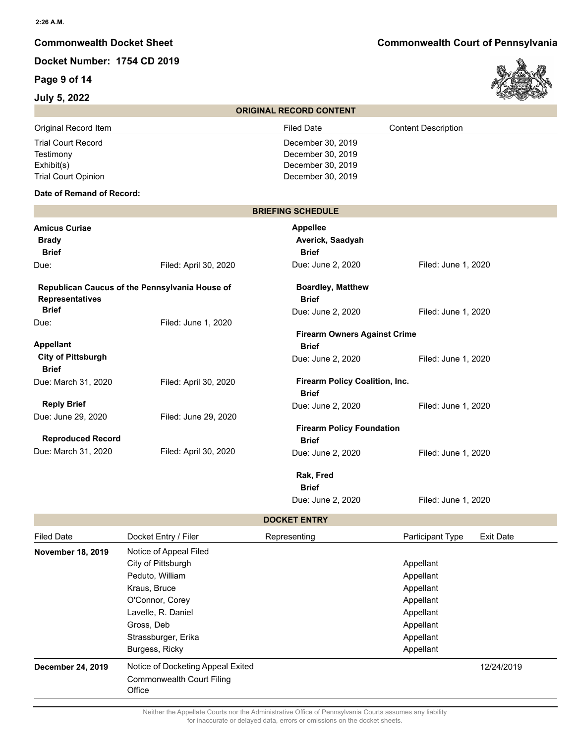# **Page 9 of 14**

### **July 5, 2022**



|                            | <b>ORIGINAL RECORD CONTENT</b> |                            |
|----------------------------|--------------------------------|----------------------------|
| Original Record Item       | <b>Filed Date</b>              | <b>Content Description</b> |
| <b>Trial Court Record</b>  | December 30, 2019              |                            |
| Testimony                  | December 30, 2019              |                            |
| Exhibit(s)                 | December 30, 2019              |                            |
| <b>Trial Court Opinion</b> | December 30, 2019              |                            |

### **Date of Remand of Record:**

|                                                                          |                       | <b>BRIEFING SCHEDULE</b>                            |                     |  |
|--------------------------------------------------------------------------|-----------------------|-----------------------------------------------------|---------------------|--|
| <b>Amicus Curiae</b><br><b>Brady</b><br><b>Brief</b>                     |                       | <b>Appellee</b><br>Averick, Saadyah<br><b>Brief</b> |                     |  |
| Due:                                                                     | Filed: April 30, 2020 | Due: June 2, 2020                                   | Filed: June 1, 2020 |  |
| Republican Caucus of the Pennsylvania House of<br><b>Representatives</b> |                       | <b>Boardley, Matthew</b><br><b>Brief</b>            |                     |  |
| <b>Brief</b>                                                             |                       | Due: June 2, 2020                                   | Filed: June 1, 2020 |  |
| Due:                                                                     | Filed: June 1, 2020   |                                                     |                     |  |
| <b>Appellant</b>                                                         |                       | <b>Firearm Owners Against Crime</b><br><b>Brief</b> |                     |  |
| <b>City of Pittsburgh</b><br><b>Brief</b>                                |                       | Due: June 2, 2020                                   | Filed: June 1, 2020 |  |
| Due: March 31, 2020                                                      | Filed: April 30, 2020 | Firearm Policy Coalition, Inc.<br><b>Brief</b>      |                     |  |
| <b>Reply Brief</b>                                                       |                       | Due: June 2, 2020                                   | Filed: June 1, 2020 |  |
| Due: June 29, 2020                                                       | Filed: June 29, 2020  |                                                     |                     |  |
| <b>Reproduced Record</b>                                                 |                       | <b>Firearm Policy Foundation</b><br><b>Brief</b>    |                     |  |
| Due: March 31, 2020                                                      | Filed: April 30, 2020 | Due: June 2, 2020                                   | Filed: June 1, 2020 |  |
|                                                                          |                       | Rak, Fred                                           |                     |  |
|                                                                          |                       | <b>Brief</b>                                        |                     |  |

**DOCKET ENTRY**

Due: June 2, 2020 Filed: June 1, 2020

| <b>Filed Date</b>        | Docket Entry / Filer              | Representing | Participant Type | <b>Exit Date</b> |  |
|--------------------------|-----------------------------------|--------------|------------------|------------------|--|
| <b>November 18, 2019</b> | Notice of Appeal Filed            |              |                  |                  |  |
|                          | City of Pittsburgh                |              | Appellant        |                  |  |
|                          | Peduto, William                   |              | Appellant        |                  |  |
|                          | Kraus, Bruce                      |              | Appellant        |                  |  |
|                          | O'Connor, Corey                   |              | Appellant        |                  |  |
|                          | Lavelle, R. Daniel                |              | Appellant        |                  |  |
|                          | Gross, Deb                        |              | Appellant        |                  |  |
|                          | Strassburger, Erika               |              | Appellant        |                  |  |
|                          | Burgess, Ricky                    |              | Appellant        |                  |  |
| December 24, 2019        | Notice of Docketing Appeal Exited |              |                  | 12/24/2019       |  |
|                          | <b>Commonwealth Court Filing</b>  |              |                  |                  |  |
|                          | Office                            |              |                  |                  |  |

Neither the Appellate Courts nor the Administrative Office of Pennsylvania Courts assumes any liability for inaccurate or delayed data, errors or omissions on the docket sheets.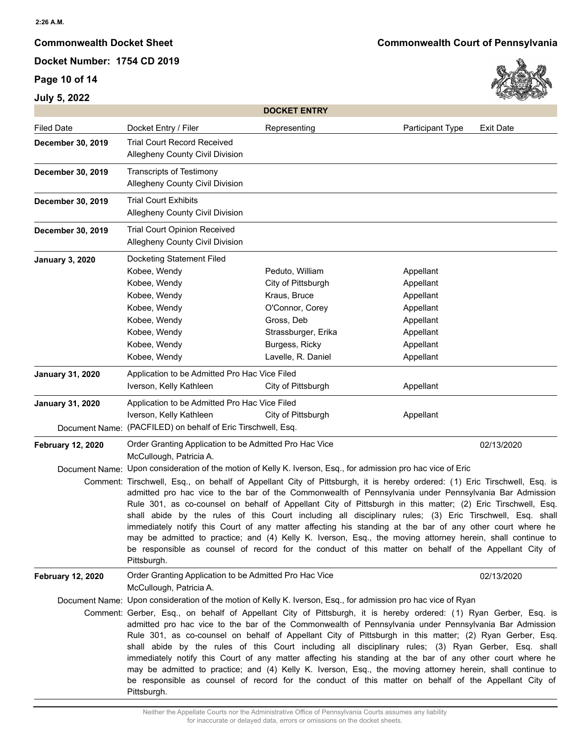## **Page 10 of 14**

**July 5, 2022**

**Commonwealth Docket Sheet Commonwealth Court of Pennsylvania**



|                          |                                                                                                                                                                                                                                                                                                                                                                                                                                                                                                                                                                                                                                                                                                                                                                                                                                                                                                                   | <b>DOCKET ENTRY</b>                                                                                                                                   |                                                                                                      |                  |
|--------------------------|-------------------------------------------------------------------------------------------------------------------------------------------------------------------------------------------------------------------------------------------------------------------------------------------------------------------------------------------------------------------------------------------------------------------------------------------------------------------------------------------------------------------------------------------------------------------------------------------------------------------------------------------------------------------------------------------------------------------------------------------------------------------------------------------------------------------------------------------------------------------------------------------------------------------|-------------------------------------------------------------------------------------------------------------------------------------------------------|------------------------------------------------------------------------------------------------------|------------------|
| <b>Filed Date</b>        | Docket Entry / Filer                                                                                                                                                                                                                                                                                                                                                                                                                                                                                                                                                                                                                                                                                                                                                                                                                                                                                              | Representing                                                                                                                                          | Participant Type                                                                                     | <b>Exit Date</b> |
| December 30, 2019        | <b>Trial Court Record Received</b><br><b>Allegheny County Civil Division</b>                                                                                                                                                                                                                                                                                                                                                                                                                                                                                                                                                                                                                                                                                                                                                                                                                                      |                                                                                                                                                       |                                                                                                      |                  |
| December 30, 2019        | Transcripts of Testimony<br>Allegheny County Civil Division                                                                                                                                                                                                                                                                                                                                                                                                                                                                                                                                                                                                                                                                                                                                                                                                                                                       |                                                                                                                                                       |                                                                                                      |                  |
| December 30, 2019        | <b>Trial Court Exhibits</b><br>Allegheny County Civil Division                                                                                                                                                                                                                                                                                                                                                                                                                                                                                                                                                                                                                                                                                                                                                                                                                                                    |                                                                                                                                                       |                                                                                                      |                  |
| December 30, 2019        | <b>Trial Court Opinion Received</b><br>Allegheny County Civil Division                                                                                                                                                                                                                                                                                                                                                                                                                                                                                                                                                                                                                                                                                                                                                                                                                                            |                                                                                                                                                       |                                                                                                      |                  |
| <b>January 3, 2020</b>   | Docketing Statement Filed<br>Kobee, Wendy<br>Kobee, Wendy<br>Kobee, Wendy<br>Kobee, Wendy<br>Kobee, Wendy<br>Kobee, Wendy<br>Kobee, Wendy<br>Kobee, Wendy                                                                                                                                                                                                                                                                                                                                                                                                                                                                                                                                                                                                                                                                                                                                                         | Peduto, William<br>City of Pittsburgh<br>Kraus, Bruce<br>O'Connor, Corey<br>Gross, Deb<br>Strassburger, Erika<br>Burgess, Ricky<br>Lavelle, R. Daniel | Appellant<br>Appellant<br>Appellant<br>Appellant<br>Appellant<br>Appellant<br>Appellant<br>Appellant |                  |
| <b>January 31, 2020</b>  | Application to be Admitted Pro Hac Vice Filed                                                                                                                                                                                                                                                                                                                                                                                                                                                                                                                                                                                                                                                                                                                                                                                                                                                                     |                                                                                                                                                       |                                                                                                      |                  |
|                          | Iverson, Kelly Kathleen                                                                                                                                                                                                                                                                                                                                                                                                                                                                                                                                                                                                                                                                                                                                                                                                                                                                                           | City of Pittsburgh                                                                                                                                    | Appellant                                                                                            |                  |
| <b>January 31, 2020</b>  | Application to be Admitted Pro Hac Vice Filed<br>Iverson, Kelly Kathleen<br>Document Name: (PACFILED) on behalf of Eric Tirschwell, Esq.                                                                                                                                                                                                                                                                                                                                                                                                                                                                                                                                                                                                                                                                                                                                                                          | City of Pittsburgh                                                                                                                                    | Appellant                                                                                            |                  |
| <b>February 12, 2020</b> | Order Granting Application to be Admitted Pro Hac Vice<br>McCullough, Patricia A.                                                                                                                                                                                                                                                                                                                                                                                                                                                                                                                                                                                                                                                                                                                                                                                                                                 |                                                                                                                                                       |                                                                                                      | 02/13/2020       |
|                          | Document Name: Upon consideration of the motion of Kelly K. Iverson, Esq., for admission pro hac vice of Eric<br>Comment: Tirschwell, Esq., on behalf of Appellant City of Pittsburgh, it is hereby ordered: (1) Eric Tirschwell, Esq. is<br>admitted pro hac vice to the bar of the Commonwealth of Pennsylvania under Pennsylvania Bar Admission<br>Rule 301, as co-counsel on behalf of Appellant City of Pittsburgh in this matter; (2) Eric Tirschwell, Esq.<br>shall abide by the rules of this Court including all disciplinary rules; (3) Eric Tirschwell, Esq. shall<br>immediately notify this Court of any matter affecting his standing at the bar of any other court where he<br>may be admitted to practice; and (4) Kelly K. Iverson, Esq., the moving attorney herein, shall continue to<br>be responsible as counsel of record for the conduct of this matter on behalf of the Appellant City of |                                                                                                                                                       |                                                                                                      |                  |
| <b>February 12, 2020</b> | Pittsburgh.<br>Order Granting Application to be Admitted Pro Hac Vice<br>McCullough, Patricia A.                                                                                                                                                                                                                                                                                                                                                                                                                                                                                                                                                                                                                                                                                                                                                                                                                  |                                                                                                                                                       |                                                                                                      | 02/13/2020       |
|                          | Document Name: Upon consideration of the motion of Kelly K. Iverson, Esq., for admission pro hac vice of Ryan<br>Comment: Gerber, Esq., on behalf of Appellant City of Pittsburgh, it is hereby ordered: (1) Ryan Gerber, Esq. is<br>admitted pro hac vice to the bar of the Commonwealth of Pennsylvania under Pennsylvania Bar Admission<br>Rule 301, as co-counsel on behalf of Appellant City of Pittsburgh in this matter; (2) Ryan Gerber, Esq.<br>shall abide by the rules of this Court including all disciplinary rules; (3) Ryan Gerber, Esq. shall<br>immediately notify this Court of any matter affecting his standing at the bar of any other court where he<br>may be admitted to practice; and (4) Kelly K. Iverson, Esq., the moving attorney herein, shall continue to<br>be responsible as counsel of record for the conduct of this matter on behalf of the Appellant City of<br>Pittsburgh.  |                                                                                                                                                       |                                                                                                      |                  |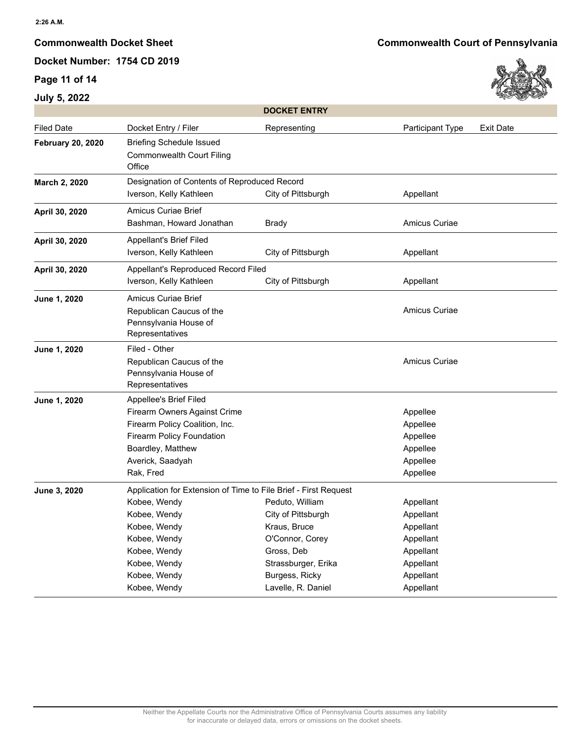## **Page 11 of 14**

# **July 5, 2022**

**Commonwealth Docket Sheet Commonwealth Court of Pennsylvania**



|                          |                                                                                                                                                                                                 | <b>DOCKET ENTRY</b>                                                                                                                                   |                                                                                                      |                  |
|--------------------------|-------------------------------------------------------------------------------------------------------------------------------------------------------------------------------------------------|-------------------------------------------------------------------------------------------------------------------------------------------------------|------------------------------------------------------------------------------------------------------|------------------|
| <b>Filed Date</b>        | Docket Entry / Filer                                                                                                                                                                            | Representing                                                                                                                                          | Participant Type                                                                                     | <b>Exit Date</b> |
| <b>February 20, 2020</b> | <b>Briefing Schedule Issued</b><br><b>Commonwealth Court Filing</b><br>Office                                                                                                                   |                                                                                                                                                       |                                                                                                      |                  |
| March 2, 2020            | Designation of Contents of Reproduced Record<br>Iverson, Kelly Kathleen<br>City of Pittsburgh<br>Appellant                                                                                      |                                                                                                                                                       |                                                                                                      |                  |
| April 30, 2020           | <b>Amicus Curiae Brief</b><br>Bashman, Howard Jonathan                                                                                                                                          | <b>Brady</b>                                                                                                                                          | Amicus Curiae                                                                                        |                  |
| April 30, 2020           | <b>Appellant's Brief Filed</b><br>Iverson, Kelly Kathleen                                                                                                                                       | City of Pittsburgh                                                                                                                                    | Appellant                                                                                            |                  |
| April 30, 2020           | Appellant's Reproduced Record Filed<br>Iverson, Kelly Kathleen<br>City of Pittsburgh<br>Appellant                                                                                               |                                                                                                                                                       |                                                                                                      |                  |
| June 1, 2020             | <b>Amicus Curiae Brief</b><br>Republican Caucus of the<br>Pennsylvania House of<br>Representatives                                                                                              |                                                                                                                                                       | Amicus Curiae                                                                                        |                  |
| June 1, 2020             | Filed - Other<br>Republican Caucus of the<br>Pennsylvania House of<br>Representatives                                                                                                           |                                                                                                                                                       | Amicus Curiae                                                                                        |                  |
| June 1, 2020             | Appellee's Brief Filed<br>Firearm Owners Against Crime<br>Firearm Policy Coalition, Inc.<br><b>Firearm Policy Foundation</b><br>Boardley, Matthew<br>Averick, Saadyah<br>Rak, Fred              |                                                                                                                                                       | Appellee<br>Appellee<br>Appellee<br>Appellee<br>Appellee<br>Appellee                                 |                  |
| June 3, 2020             | Application for Extension of Time to File Brief - First Request<br>Kobee, Wendy<br>Kobee, Wendy<br>Kobee, Wendy<br>Kobee, Wendy<br>Kobee, Wendy<br>Kobee, Wendy<br>Kobee, Wendy<br>Kobee, Wendy | Peduto, William<br>City of Pittsburgh<br>Kraus, Bruce<br>O'Connor, Corey<br>Gross, Deb<br>Strassburger, Erika<br>Burgess, Ricky<br>Lavelle, R. Daniel | Appellant<br>Appellant<br>Appellant<br>Appellant<br>Appellant<br>Appellant<br>Appellant<br>Appellant |                  |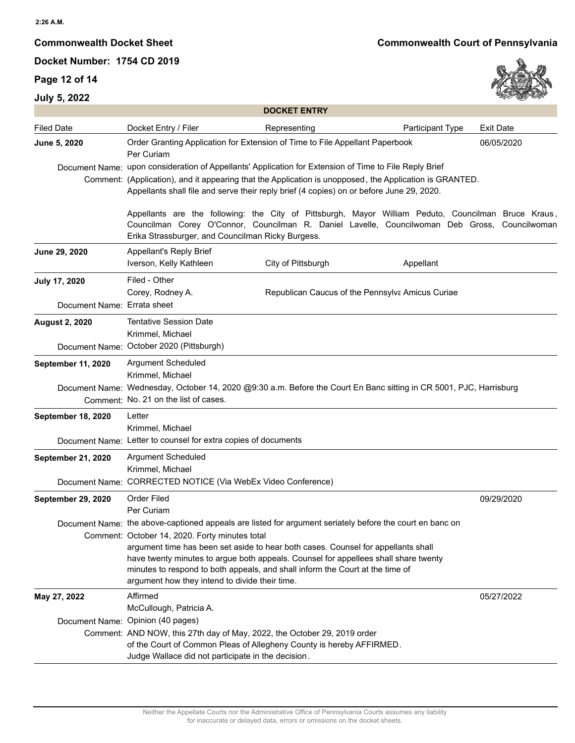# **Page 12 of 14**



|                             | <b>DOCKET ENTRY</b>                                                                                                                                                                                                                                                                                                                                                                                                                                                                                                                                                        |                                 |                  |  |  |  |
|-----------------------------|----------------------------------------------------------------------------------------------------------------------------------------------------------------------------------------------------------------------------------------------------------------------------------------------------------------------------------------------------------------------------------------------------------------------------------------------------------------------------------------------------------------------------------------------------------------------------|---------------------------------|------------------|--|--|--|
| <b>Filed Date</b>           | Docket Entry / Filer<br>Representing                                                                                                                                                                                                                                                                                                                                                                                                                                                                                                                                       | Participant Type                | <b>Exit Date</b> |  |  |  |
| June 5, 2020                | Order Granting Application for Extension of Time to File Appellant Paperbook<br>06/05/2020<br>Per Curiam                                                                                                                                                                                                                                                                                                                                                                                                                                                                   |                                 |                  |  |  |  |
|                             | Document Name: upon consideration of Appellants' Application for Extension of Time to File Reply Brief<br>Comment: (Application), and it appearing that the Application is unopposed, the Application is GRANTED.<br>Appellants shall file and serve their reply brief (4 copies) on or before June 29, 2020.<br>Appellants are the following: the City of Pittsburgh, Mayor William Peduto, Councilman Bruce Kraus,<br>Councilman Corey O'Connor, Councilman R. Daniel Lavelle, Councilwoman Deb Gross, Councilwoman<br>Erika Strassburger, and Councilman Ricky Burgess. |                                 |                  |  |  |  |
|                             |                                                                                                                                                                                                                                                                                                                                                                                                                                                                                                                                                                            |                                 |                  |  |  |  |
| June 29, 2020               | Appellant's Reply Brief<br>Iverson, Kelly Kathleen                                                                                                                                                                                                                                                                                                                                                                                                                                                                                                                         | City of Pittsburgh<br>Appellant |                  |  |  |  |
| July 17, 2020               | Filed - Other<br>Corey, Rodney A.<br>Republican Caucus of the Pennsylva Amicus Curiae                                                                                                                                                                                                                                                                                                                                                                                                                                                                                      |                                 |                  |  |  |  |
| Document Name: Errata sheet |                                                                                                                                                                                                                                                                                                                                                                                                                                                                                                                                                                            |                                 |                  |  |  |  |
| <b>August 2, 2020</b>       | Tentative Session Date<br>Krimmel, Michael                                                                                                                                                                                                                                                                                                                                                                                                                                                                                                                                 |                                 |                  |  |  |  |
|                             | Document Name: October 2020 (Pittsburgh)                                                                                                                                                                                                                                                                                                                                                                                                                                                                                                                                   |                                 |                  |  |  |  |
| September 11, 2020          | Argument Scheduled<br>Krimmel, Michael                                                                                                                                                                                                                                                                                                                                                                                                                                                                                                                                     |                                 |                  |  |  |  |
|                             | Document Name: Wednesday, October 14, 2020 @9:30 a.m. Before the Court En Banc sitting in CR 5001, PJC, Harrisburg<br>Comment: No. 21 on the list of cases.                                                                                                                                                                                                                                                                                                                                                                                                                |                                 |                  |  |  |  |
| September 18, 2020          | Letter<br>Krimmel, Michael                                                                                                                                                                                                                                                                                                                                                                                                                                                                                                                                                 |                                 |                  |  |  |  |
|                             | Document Name: Letter to counsel for extra copies of documents                                                                                                                                                                                                                                                                                                                                                                                                                                                                                                             |                                 |                  |  |  |  |
| September 21, 2020          | Argument Scheduled<br>Krimmel, Michael                                                                                                                                                                                                                                                                                                                                                                                                                                                                                                                                     |                                 |                  |  |  |  |
|                             | Document Name: CORRECTED NOTICE (Via WebEx Video Conference)                                                                                                                                                                                                                                                                                                                                                                                                                                                                                                               |                                 |                  |  |  |  |
| <b>September 29, 2020</b>   | <b>Order Filed</b><br>Per Curiam                                                                                                                                                                                                                                                                                                                                                                                                                                                                                                                                           |                                 | 09/29/2020       |  |  |  |
|                             | Document Name: the above-captioned appeals are listed for argument seriately before the court en banc on<br>Comment: October 14, 2020. Forty minutes total<br>argument time has been set aside to hear both cases. Counsel for appellants shall<br>have twenty minutes to argue both appeals. Counsel for appellees shall share twenty<br>minutes to respond to both appeals, and shall inform the Court at the time of<br>argument how they intend to divide their time.                                                                                                  |                                 |                  |  |  |  |
| May 27, 2022                | Affirmed<br>McCullough, Patricia A.                                                                                                                                                                                                                                                                                                                                                                                                                                                                                                                                        |                                 | 05/27/2022       |  |  |  |
|                             | Document Name: Opinion (40 pages)<br>Comment: AND NOW, this 27th day of May, 2022, the October 29, 2019 order<br>of the Court of Common Pleas of Allegheny County is hereby AFFIRMED.<br>Judge Wallace did not participate in the decision.                                                                                                                                                                                                                                                                                                                                |                                 |                  |  |  |  |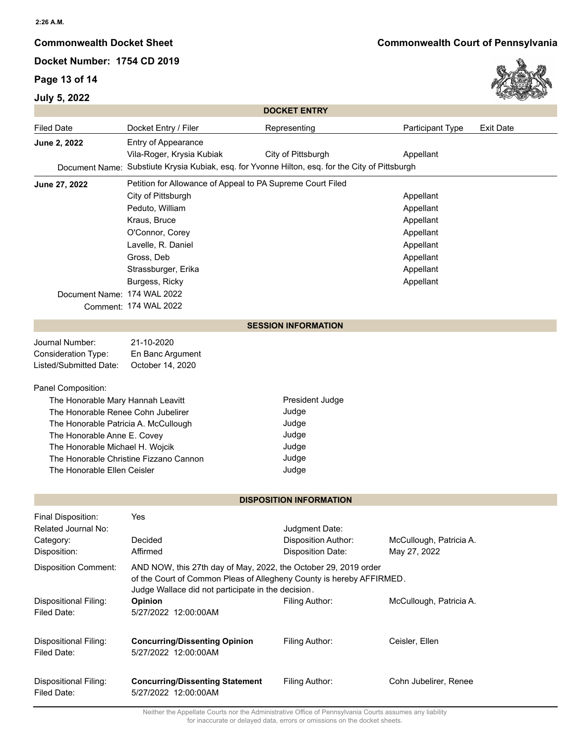# **Page 13 of 14**

**July 5, 2022**

# **Commonwealth Docket Sheet Commonwealth Court of Pennsylvania**



|                                                                             | <b>DOCKET ENTRY</b>                                                                                                        |                                |                         |                  |  |  |  |  |
|-----------------------------------------------------------------------------|----------------------------------------------------------------------------------------------------------------------------|--------------------------------|-------------------------|------------------|--|--|--|--|
| <b>Filed Date</b>                                                           | Docket Entry / Filer                                                                                                       | Representing                   | Participant Type        | <b>Exit Date</b> |  |  |  |  |
| June 2, 2022                                                                | Entry of Appearance                                                                                                        |                                |                         |                  |  |  |  |  |
|                                                                             | Vila-Roger, Krysia Kubiak                                                                                                  | City of Pittsburgh             | Appellant               |                  |  |  |  |  |
|                                                                             | Document Name: Substiute Krysia Kubiak, esq. for Yvonne Hilton, esq. for the City of Pittsburgh                            |                                |                         |                  |  |  |  |  |
| Petition for Allowance of Appeal to PA Supreme Court Filed<br>June 27, 2022 |                                                                                                                            |                                |                         |                  |  |  |  |  |
|                                                                             | City of Pittsburgh                                                                                                         |                                | Appellant               |                  |  |  |  |  |
|                                                                             | Peduto, William                                                                                                            |                                | Appellant               |                  |  |  |  |  |
|                                                                             | Kraus, Bruce                                                                                                               |                                | Appellant               |                  |  |  |  |  |
|                                                                             | O'Connor, Corey                                                                                                            |                                | Appellant               |                  |  |  |  |  |
|                                                                             | Lavelle, R. Daniel                                                                                                         |                                | Appellant               |                  |  |  |  |  |
|                                                                             | Gross, Deb                                                                                                                 |                                | Appellant               |                  |  |  |  |  |
|                                                                             | Strassburger, Erika                                                                                                        |                                | Appellant               |                  |  |  |  |  |
|                                                                             | Burgess, Ricky                                                                                                             |                                | Appellant               |                  |  |  |  |  |
| Document Name: 174 WAL 2022                                                 | Comment: 174 WAL 2022                                                                                                      |                                |                         |                  |  |  |  |  |
|                                                                             |                                                                                                                            |                                |                         |                  |  |  |  |  |
| <b>SESSION INFORMATION</b>                                                  |                                                                                                                            |                                |                         |                  |  |  |  |  |
| Journal Number:                                                             | 21-10-2020                                                                                                                 |                                |                         |                  |  |  |  |  |
| <b>Consideration Type:</b>                                                  | En Banc Argument                                                                                                           |                                |                         |                  |  |  |  |  |
| Listed/Submitted Date:                                                      | October 14, 2020                                                                                                           |                                |                         |                  |  |  |  |  |
| Panel Composition:                                                          |                                                                                                                            |                                |                         |                  |  |  |  |  |
| The Honorable Mary Hannah Leavitt                                           |                                                                                                                            | President Judge                |                         |                  |  |  |  |  |
| The Honorable Renee Cohn Jubelirer                                          |                                                                                                                            | Judge                          |                         |                  |  |  |  |  |
| The Honorable Patricia A. McCullough                                        |                                                                                                                            | Judge                          |                         |                  |  |  |  |  |
| The Honorable Anne E. Covey                                                 |                                                                                                                            | Judge                          |                         |                  |  |  |  |  |
| The Honorable Michael H. Wojcik                                             |                                                                                                                            | Judge                          |                         |                  |  |  |  |  |
| The Honorable Christine Fizzano Cannon                                      |                                                                                                                            | Judge                          |                         |                  |  |  |  |  |
| The Honorable Ellen Ceisler                                                 |                                                                                                                            | Judge                          |                         |                  |  |  |  |  |
|                                                                             |                                                                                                                            |                                |                         |                  |  |  |  |  |
|                                                                             |                                                                                                                            | <b>DISPOSITION INFORMATION</b> |                         |                  |  |  |  |  |
| Final Disposition:                                                          | Yes                                                                                                                        |                                |                         |                  |  |  |  |  |
| Related Journal No:                                                         |                                                                                                                            | Judgment Date:                 |                         |                  |  |  |  |  |
| Category:                                                                   | Decided                                                                                                                    | Disposition Author:            | McCullough, Patricia A. |                  |  |  |  |  |
| Disposition:                                                                | Affirmed                                                                                                                   | Disposition Date:              | May 27, 2022            |                  |  |  |  |  |
| <b>Disposition Comment:</b>                                                 | AND NOW, this 27th day of May, 2022, the October 29, 2019 order                                                            |                                |                         |                  |  |  |  |  |
|                                                                             | of the Court of Common Pleas of Allegheny County is hereby AFFIRMED.<br>Judge Wallace did not participate in the decision. |                                |                         |                  |  |  |  |  |
| Dispositional Filing:                                                       | <b>Opinion</b>                                                                                                             | Filing Author:                 | McCullough, Patricia A. |                  |  |  |  |  |
| Filed Date:                                                                 | 5/27/2022 12:00:00AM                                                                                                       |                                |                         |                  |  |  |  |  |
|                                                                             |                                                                                                                            |                                |                         |                  |  |  |  |  |
| Dispositional Filing:                                                       | <b>Concurring/Dissenting Opinion</b>                                                                                       | Filing Author:                 | Ceisler, Ellen          |                  |  |  |  |  |
| Filed Date:                                                                 | 5/27/2022 12:00:00AM                                                                                                       |                                |                         |                  |  |  |  |  |
|                                                                             |                                                                                                                            |                                |                         |                  |  |  |  |  |
| Dispositional Filing:                                                       | <b>Concurring/Dissenting Statement</b>                                                                                     | Filing Author:                 | Cohn Jubelirer, Renee   |                  |  |  |  |  |
| Filed Date:                                                                 | 5/27/2022 12:00:00AM                                                                                                       |                                |                         |                  |  |  |  |  |

Neither the Appellate Courts nor the Administrative Office of Pennsylvania Courts assumes any liability for inaccurate or delayed data, errors or omissions on the docket sheets.